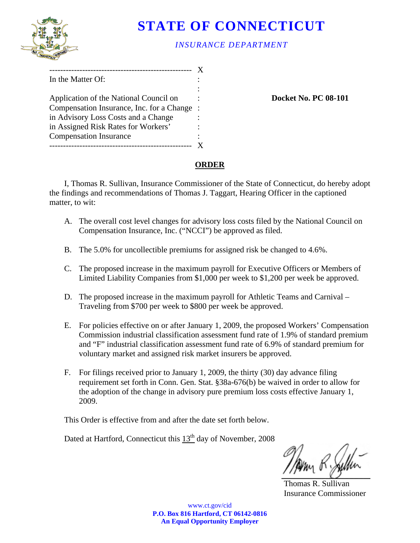

# **STATE OF CONNECTICUT**

## *INSURANCE DEPARTMENT*

| In the Matter Of:                         |         |
|-------------------------------------------|---------|
|                                           |         |
| Application of the National Council on    |         |
| Compensation Insurance, Inc. for a Change | $\cdot$ |
| in Advisory Loss Costs and a Change       |         |
| in Assigned Risk Rates for Workers'       |         |
| <b>Compensation Insurance</b>             |         |
|                                           |         |

**Docket No. PC 08-101** 

## **ORDER**

I, Thomas R. Sullivan, Insurance Commissioner of the State of Connecticut, do hereby adopt the findings and recommendations of Thomas J. Taggart, Hearing Officer in the captioned matter, to wit:

- A. The overall cost level changes for advisory loss costs filed by the National Council on Compensation Insurance, Inc. ("NCCI") be approved as filed.
- B. The 5.0% for uncollectible premiums for assigned risk be changed to 4.6%.
- C. The proposed increase in the maximum payroll for Executive Officers or Members of Limited Liability Companies from \$1,000 per week to \$1,200 per week be approved.
- D. The proposed increase in the maximum payroll for Athletic Teams and Carnival Traveling from \$700 per week to \$800 per week be approved.
- E. For policies effective on or after January 1, 2009, the proposed Workers' Compensation Commission industrial classification assessment fund rate of 1.9% of standard premium and "F" industrial classification assessment fund rate of 6.9% of standard premium for voluntary market and assigned risk market insurers be approved.
- F. For filings received prior to January 1, 2009, the thirty (30) day advance filing requirement set forth in Conn. Gen. Stat. §38a-676(b) be waived in order to allow for the adoption of the change in advisory pure premium loss costs effective January 1, 2009.

This Order is effective from and after the date set forth below.

Dated at Hartford, Connecticut this 13<sup>th</sup> day of November, 2008

 Thomas R. Sullivan Insurance Commissioner

www.ct.gov/cid **P.O. Box 816 Hartford, CT 06142-0816 An Equal Opportunity Employer**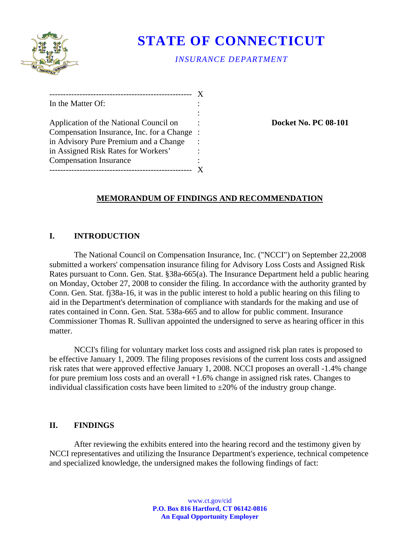

# **STATE OF CONNECTICUT**

*INSURANCE DEPARTMENT* 

| _____________                             |         |
|-------------------------------------------|---------|
| In the Matter Of:                         |         |
|                                           |         |
| Application of the National Council on    |         |
| Compensation Insurance, Inc. for a Change | $\cdot$ |
| in Advisory Pure Premium and a Change     |         |
| in Assigned Risk Rates for Workers'       |         |
| <b>Compensation Insurance</b>             |         |
|                                           |         |

**Docket No. PC 08-101** 

## **MEMORANDUM OF FINDINGS AND RECOMMENDATION**

## **I. INTRODUCTION**

The National Council on Compensation Insurance, Inc. ("NCCI") on September 22,2008 submitted a workers' compensation insurance filing for Advisory Loss Costs and Assigned Risk Rates pursuant to Conn. Gen. Stat. §38a-665(a). The Insurance Department held a public hearing on Monday, October 27, 2008 to consider the filing. In accordance with the authority granted by Conn. Gen. Stat. fj38a-16, it was in the public interest to hold a public hearing on this filing to aid in the Department's determination of compliance with standards for the making and use of rates contained in Conn. Gen. Stat. 538a-665 and to allow for public comment. Insurance Commissioner Thomas R. Sullivan appointed the undersigned to serve as hearing officer in this matter.

NCCI's filing for voluntary market loss costs and assigned risk plan rates is proposed to be effective January 1, 2009. The filing proposes revisions of the current loss costs and assigned risk rates that were approved effective January 1, 2008. NCCI proposes an overall -1.4% change for pure premium loss costs and an overall +1.6% change in assigned risk rates. Changes to individual classification costs have been limited to  $\pm 20\%$  of the industry group change.

### **II. FINDINGS**

After reviewing the exhibits entered into the hearing record and the testimony given by NCCI representatives and utilizing the Insurance Department's experience, technical competence and specialized knowledge, the undersigned makes the following findings of fact: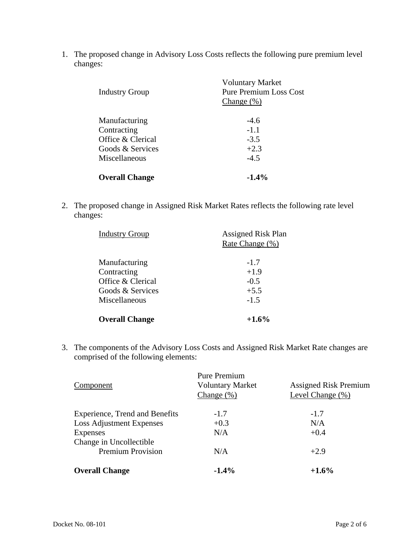1. The proposed change in Advisory Loss Costs reflects the following pure premium level changes:

| <b>Industry Group</b> | <b>Voluntary Market</b><br><b>Pure Premium Loss Cost</b><br>Change $(\%)$ |
|-----------------------|---------------------------------------------------------------------------|
| Manufacturing         | $-4.6$                                                                    |
| Contracting           | $-1.1$                                                                    |
| Office & Clerical     | $-3.5$                                                                    |
| Goods & Services      | $+2.3$                                                                    |
| Miscellaneous         | $-4.5$                                                                    |
| <b>Overall Change</b> | $-1.4\%$                                                                  |

2. The proposed change in Assigned Risk Market Rates reflects the following rate level changes:

| <b>Industry Group</b> | <b>Assigned Risk Plan</b><br>Rate Change (%) |
|-----------------------|----------------------------------------------|
| Manufacturing         | $-1.7$                                       |
| Contracting           | $+1.9$                                       |
| Office & Clerical     | $-0.5$                                       |
| Goods & Services      | $+5.5$                                       |
| Miscellaneous         | $-1.5$                                       |
| <b>Overall Change</b> | $+1.6%$                                      |

3. The components of the Advisory Loss Costs and Assigned Risk Market Rate changes are comprised of the following elements:

|                                 | <b>Pure Premium</b>     |                              |
|---------------------------------|-------------------------|------------------------------|
| Component                       | <b>Voluntary Market</b> | <b>Assigned Risk Premium</b> |
|                                 | Change $(\%)$           | Level Change (%)             |
| Experience, Trend and Benefits  | $-1.7$                  | $-1.7$                       |
| <b>Loss Adjustment Expenses</b> | $+0.3$                  | N/A                          |
| Expenses                        | N/A                     | $+0.4$                       |
| Change in Uncollectible         |                         |                              |
| <b>Premium Provision</b>        | N/A                     | $+2.9$                       |
| <b>Overall Change</b>           | $-1.4%$                 | $+1.6%$                      |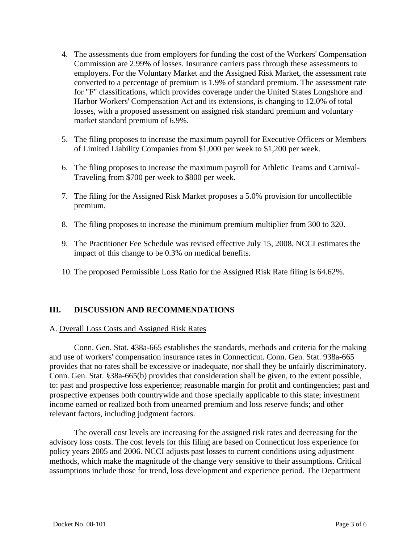- 4. The assessments due from employers for funding the cost of the Workers' Compensation Commission are 2.99% of losses. Insurance carriers pass through these assessments to employers. For the Voluntary Market and the Assigned Risk Market, the assessment rate converted to a percentage of premium is 1.9% of standard premium. The assessment rate for "F" classifications, which provides coverage under the United States Longshore and Harbor Workers' Compensation Act and its extensions, is changing to 12.0% of total losses, with a proposed assessment on assigned risk standard premium and voluntary market standard premium of 6.9%.
- 5. The filing proposes to increase the maximum payroll for Executive Officers or Members of Limited Liability Companies from \$1,000 per week to \$1,200 per week.
- 6. The filing proposes to increase the maximum payroll for Athletic Teams and Carnival-Traveling from \$700 per week to \$800 per week.
- premium. 7. The filing for the Assigned Risk Market proposes a 5.0% provision for uncollectible
- 8. The filing proposes to increase the minimum premium multiplier from 300 to 320.
- 9. The Practitioner Fee Schedule was revised effective July 15, 2008. NCCI estimates the impact of this change to be 0.3% on medical benefits.
- 10. The proposed Permissible Loss Ratio for the Assigned Risk Rate filing is 64.62%.

#### **III. DISCUSSION AND RECOMMENDATIONS**

#### A. Overall Loss Costs and Assigned Risk Rates

Conn. Gen. Stat. 438a-665 establishes the standards, methods and criteria for the making and use of workers' compensation insurance rates in Connecticut. Conn. Gen. Stat. 938a-665 provides that no rates shall be excessive or inadequate, nor shall they be unfairly discriminatory. Conn. Gen. Stat. §38a-665(b) provides that consideration shall be given, to the extent possible, to: past and prospective loss experience; reasonable margin for profit and contingencies; past and prospective expenses both countrywide and those specially applicable to this state; investment income earned or realized both from unearned premium and loss reserve funds; and other relevant factors, including judgment factors.

The overall cost levels are increasing for the assigned risk rates and decreasing for the advisory loss costs. The cost levels for this filing are based on Connecticut loss experience for policy years 2005 and 2006. NCCI adjusts past losses to current conditions using adjustment methods, which make the magnitude of the change very sensitive to their assumptions. Critical assumptions include those for trend, loss development and experience period. The Department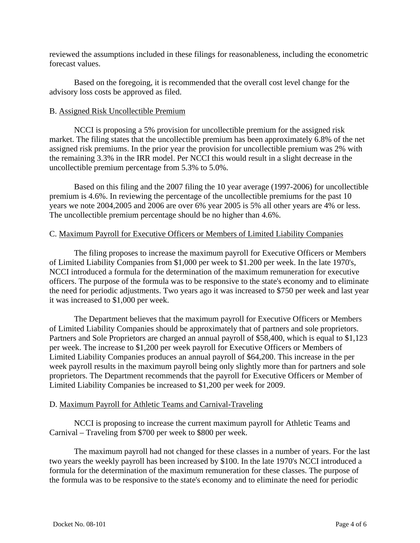reviewed the assumptions included in these filings for reasonableness, including the econometric forecast values.

Based on the foregoing, it is recommended that the overall cost level change for the advisory loss costs be approved as filed.

#### B. Assigned Risk Uncollectible Premium

NCCI is proposing a 5% provision for uncollectible premium for the assigned risk market. The filing states that the uncollectible premium has been approximately 6.8% of the net assigned risk premiums. In the prior year the provision for uncollectible premium was 2% with the remaining 3.3% in the IRR model. Per NCCI this would result in a slight decrease in the uncollectible premium percentage from 5.3% to 5.0%.

Based on this filing and the 2007 filing the 10 year average (1997-2006) for uncollectible premium is 4.6%. In reviewing the percentage of the uncollectible premiums for the past 10 years we note 2004,2005 and 2006 are over 6% year 2005 is 5% all other years are 4% or less. The uncollectible premium percentage should be no higher than 4.6%.

#### C. Maximum Payroll for Executive Officers or Members of Limited Liability Companies

The filing proposes to increase the maximum payroll for Executive Officers or Members of Limited Liability Companies from \$1,000 per week to \$1.200 per week. In the late 1970's, NCCI introduced a formula for the determination of the maximum remuneration for executive officers. The purpose of the formula was to be responsive to the state's economy and to eliminate the need for periodic adjustments. Two years ago it was increased to \$750 per week and last year it was increased to \$1,000 per week.

The Department believes that the maximum payroll for Executive Officers or Members of Limited Liability Companies should be approximately that of partners and sole proprietors. Partners and Sole Proprietors are charged an annual payroll of \$58,400, which is equal to \$1,123 per week. The increase to \$1,200 per week payroll for Executive Officers or Members of Limited Liability Companies produces an annual payroll of \$64,200. This increase in the per week payroll results in the maximum payroll being only slightly more than for partners and sole proprietors. The Department recommends that the payroll for Executive Officers or Member of Limited Liability Companies be increased to \$1,200 per week for 2009.

#### D. Maximum Payroll for Athletic Teams and Carnival-Traveling

NCCI is proposing to increase the current maximum payroll for Athletic Teams and Carnival – Traveling from \$700 per week to \$800 per week.

The maximum payroll had not changed for these classes in a number of years. For the last two years the weekly payroll has been increased by \$100. In the late 1970's NCCI introduced a formula for the determination of the maximum remuneration for these classes. The purpose of the formula was to be responsive to the state's economy and to eliminate the need for periodic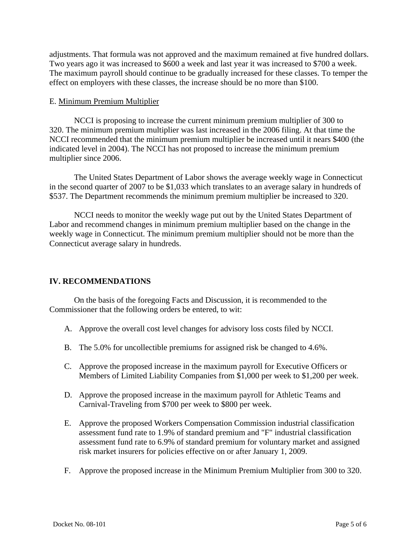adjustments. That formula was not approved and the maximum remained at five hundred dollars. Two years ago it was increased to \$600 a week and last year it was increased to \$700 a week. The maximum payroll should continue to be gradually increased for these classes. To temper the effect on employers with these classes, the increase should be no more than \$100.

#### E. Minimum Premium Multiplier

NCCI is proposing to increase the current minimum premium multiplier of 300 to 320. The minimum premium multiplier was last increased in the 2006 filing. At that time the NCCI recommended that the minimum premium multiplier be increased until it nears \$400 (the indicated level in 2004). The NCCI has not proposed to increase the minimum premium multiplier since 2006.

The United States Department of Labor shows the average weekly wage in Connecticut in the second quarter of 2007 to be \$1,033 which translates to an average salary in hundreds of \$537. The Department recommends the minimum premium multiplier be increased to 320.

NCCI needs to monitor the weekly wage put out by the United States Department of Labor and recommend changes in minimum premium multiplier based on the change in the weekly wage in Connecticut. The minimum premium multiplier should not be more than the Connecticut average salary in hundreds.

#### **IV. RECOMMENDATIONS**

On the basis of the foregoing Facts and Discussion, it is recommended to the Commissioner that the following orders be entered, to wit:

- A. Approve the overall cost level changes for advisory loss costs filed by NCCI.
- B. The 5.0% for uncollectible premiums for assigned risk be changed to 4.6%.
- C. Approve the proposed increase in the maximum payroll for Executive Officers or Members of Limited Liability Companies from \$1,000 per week to \$1,200 per week.
- D. Approve the proposed increase in the maximum payroll for Athletic Teams and Carnival-Traveling from \$700 per week to \$800 per week.
- E. Approve the proposed Workers Compensation Commission industrial classification assessment fund rate to 1.9% of standard premium and "F" industrial classification assessment fund rate to 6.9% of standard premium for voluntary market and assigned risk market insurers for policies effective on or after January 1, 2009.
- F. Approve the proposed increase in the Minimum Premium Multiplier from 300 to 320.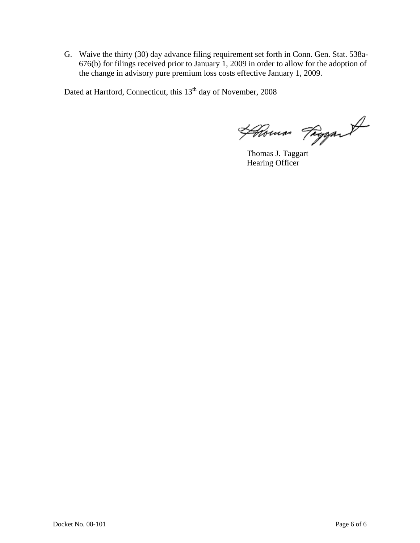G. Waive the thirty (30) day advance filing requirement set forth in Conn. Gen. Stat. 538a-676(b) for filings received prior to January 1, 2009 in order to allow for the adoption of the change in advisory pure premium loss costs effective January 1, 2009.

Dated at Hartford, Connecticut, this 13<sup>th</sup> day of November, 2008

Homas Fragant

Hearing Officer